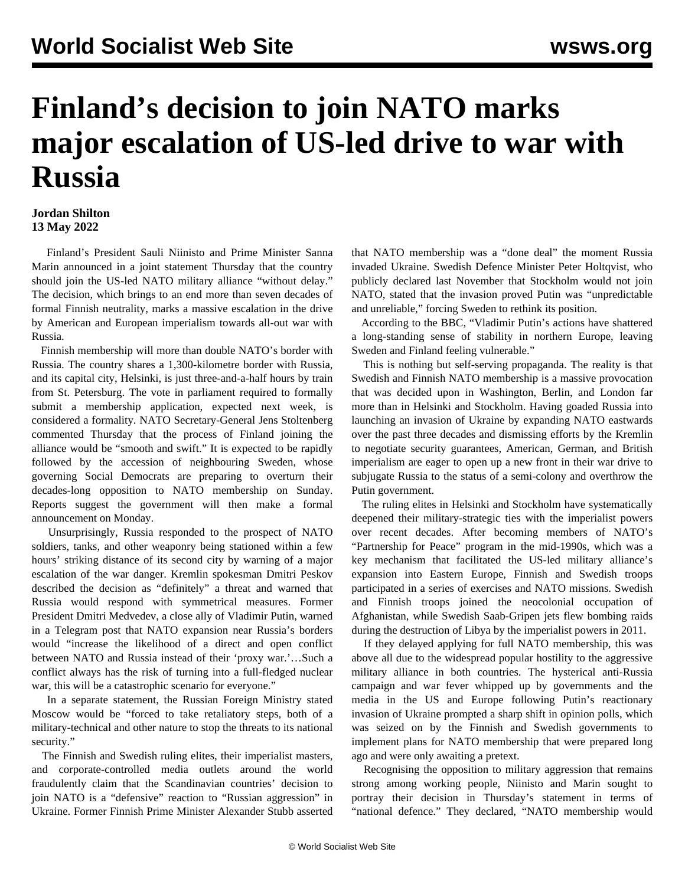## **Finland's decision to join NATO marks major escalation of US-led drive to war with Russia**

## **Jordan Shilton 13 May 2022**

 Finland's President Sauli Niinisto and Prime Minister Sanna Marin announced in a joint statement Thursday that the country should join the US-led NATO military alliance "without delay." The decision, which brings to an end more than seven decades of formal Finnish neutrality, marks a massive escalation in the drive by American and European imperialism towards all-out war with Russia.

 Finnish membership will more than double NATO's border with Russia. The country shares a 1,300-kilometre border with Russia, and its capital city, Helsinki, is just three-and-a-half hours by train from St. Petersburg. The vote in parliament required to formally submit a membership application, expected next week, is considered a formality. NATO Secretary-General Jens Stoltenberg commented Thursday that the process of Finland joining the alliance would be "smooth and swift." It is expected to be rapidly followed by the accession of neighbouring Sweden, whose governing Social Democrats are preparing to overturn their decades-long opposition to NATO membership on Sunday. Reports suggest the government will then make a formal announcement on Monday.

 Unsurprisingly, Russia responded to the prospect of NATO soldiers, tanks, and other weaponry being stationed within a few hours' striking distance of its second city by warning of a major escalation of the war danger. Kremlin spokesman Dmitri Peskov described the decision as "definitely" a threat and warned that Russia would respond with symmetrical measures. Former President Dmitri Medvedev, a close ally of Vladimir Putin, warned in a Telegram post that NATO expansion near Russia's borders would "increase the likelihood of a direct and open conflict between NATO and Russia instead of their 'proxy war.'…Such a conflict always has the risk of turning into a full-fledged nuclear war, this will be a catastrophic scenario for everyone."

 In a separate statement, the Russian Foreign Ministry stated Moscow would be "forced to take retaliatory steps, both of a military-technical and other nature to stop the threats to its national security."

 The Finnish and Swedish ruling elites, their imperialist masters, and corporate-controlled media outlets around the world fraudulently claim that the Scandinavian countries' decision to join NATO is a "defensive" reaction to "Russian aggression" in Ukraine. Former Finnish Prime Minister Alexander Stubb asserted that NATO membership was a "done deal" the moment Russia invaded Ukraine. Swedish Defence Minister Peter Holtqvist, who publicly declared last November that Stockholm would not join NATO, stated that the invasion proved Putin was "unpredictable and unreliable," forcing Sweden to rethink its position.

 According to the BBC, "Vladimir Putin's actions have shattered a long-standing sense of stability in northern Europe, leaving Sweden and Finland feeling vulnerable."

 This is nothing but self-serving propaganda. The reality is that Swedish and Finnish NATO membership is a massive provocation that was decided upon in Washington, Berlin, and London far more than in Helsinki and Stockholm. Having goaded Russia into launching an invasion of Ukraine by expanding NATO eastwards over the past three decades and dismissing efforts by the Kremlin to negotiate security guarantees, American, German, and British imperialism are eager to open up a new front in their war drive to subjugate Russia to the status of a semi-colony and overthrow the Putin government.

 The ruling elites in Helsinki and Stockholm have systematically deepened their military-strategic ties with the imperialist powers over recent decades. After becoming members of NATO's "Partnership for Peace" program in the mid-1990s, which was a key mechanism that facilitated the US-led military alliance's expansion into Eastern Europe, Finnish and Swedish troops participated in a series of exercises and NATO missions. Swedish and Finnish troops joined the neocolonial occupation of Afghanistan, while Swedish Saab-Gripen jets flew bombing raids during the destruction of Libya by the imperialist powers in 2011.

 If they delayed applying for full NATO membership, this was above all due to the widespread popular hostility to the aggressive military alliance in both countries. The hysterical anti-Russia campaign and war fever whipped up by governments and the media in the US and Europe following Putin's reactionary invasion of Ukraine prompted a sharp shift in opinion polls, which was seized on by the Finnish and Swedish governments to implement plans for NATO membership that were prepared long ago and were only awaiting a pretext.

 Recognising the opposition to military aggression that remains strong among working people, Niinisto and Marin sought to portray their decision in Thursday's statement in terms of "national defence." They declared, "NATO membership would